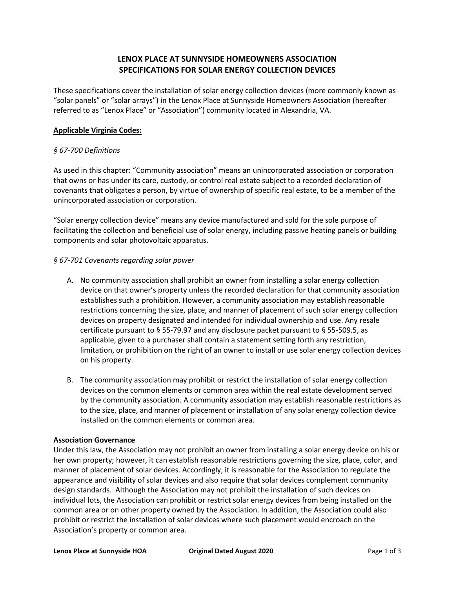# **LENOX PLACE AT SUNNYSIDE HOMEOWNERS ASSOCIATION SPECIFICATIONS FOR SOLAR ENERGY COLLECTION DEVICES**

These specifications cover the installation of solar energy collection devices (more commonly known as "solar panels" or "solar arrays") in the Lenox Place at Sunnyside Homeowners Association (hereafter referred to as "Lenox Place" or "Association") community located in Alexandria, VA.

### **Applicable Virginia Codes:**

#### *§ 67-700 Definitions*

As used in this chapter: "Community association" means an unincorporated association or corporation that owns or has under its care, custody, or control real estate subject to a recorded declaration of covenants that obligates a person, by virtue of ownership of specific real estate, to be a member of the unincorporated association or corporation.

"Solar energy collection device" means any device manufactured and sold for the sole purpose of facilitating the collection and beneficial use of solar energy, including passive heating panels or building components and solar photovoltaic apparatus.

#### *§ 67-701 Covenants regarding solar power*

- A. No community association shall prohibit an owner from installing a solar energy collection device on that owner's property unless the recorded declaration for that community association establishes such a prohibition. However, a community association may establish reasonable restrictions concerning the size, place, and manner of placement of such solar energy collection devices on property designated and intended for individual ownership and use. Any resale certificate pursuant to § 55-79.97 and any disclosure packet pursuant to § 55-509.5, as applicable, given to a purchaser shall contain a statement setting forth any restriction, limitation, or prohibition on the right of an owner to install or use solar energy collection devices on his property.
- B. The community association may prohibit or restrict the installation of solar energy collection devices on the common elements or common area within the real estate development served by the community association. A community association may establish reasonable restrictions as to the size, place, and manner of placement or installation of any solar energy collection device installed on the common elements or common area.

#### **Association Governance**

Under this law, the Association may not prohibit an owner from installing a solar energy device on his or her own property; however, it can establish reasonable restrictions governing the size, place, color, and manner of placement of solar devices. Accordingly, it is reasonable for the Association to regulate the appearance and visibility of solar devices and also require that solar devices complement community design standards. Although the Association may not prohibit the installation of such devices on individual lots, the Association can prohibit or restrict solar energy devices from being installed on the common area or on other property owned by the Association. In addition, the Association could also prohibit or restrict the installation of solar devices where such placement would encroach on the Association's property or common area.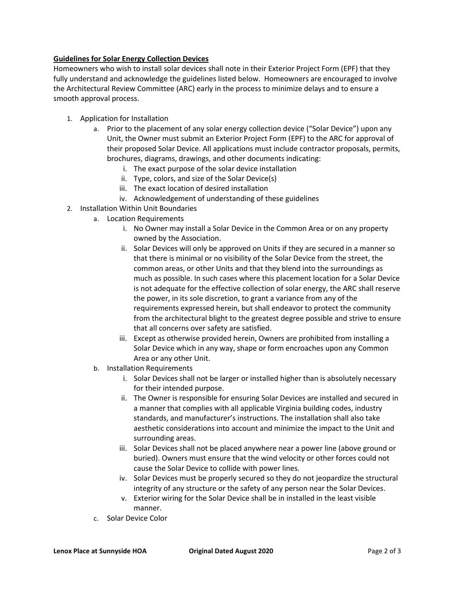## **Guidelines for Solar Energy Collection Devices**

Homeowners who wish to install solar devices shall note in their Exterior Project Form (EPF) that they fully understand and acknowledge the guidelines listed below. Homeowners are encouraged to involve the Architectural Review Committee (ARC) early in the process to minimize delays and to ensure a smooth approval process.

- 1. Application for Installation
	- a. Prior to the placement of any solar energy collection device ("Solar Device") upon any Unit, the Owner must submit an Exterior Project Form (EPF) to the ARC for approval of their proposed Solar Device. All applications must include contractor proposals, permits, brochures, diagrams, drawings, and other documents indicating:
		- i. The exact purpose of the solar device installation
		- ii. Type, colors, and size of the Solar Device(s)
		- iii. The exact location of desired installation
		- iv. Acknowledgement of understanding of these guidelines
- 2. Installation Within Unit Boundaries
	- a. Location Requirements
		- i. No Owner may install a Solar Device in the Common Area or on any property owned by the Association.
		- ii. Solar Devices will only be approved on Units if they are secured in a manner so that there is minimal or no visibility of the Solar Device from the street, the common areas, or other Units and that they blend into the surroundings as much as possible. In such cases where this placement location for a Solar Device is not adequate for the effective collection of solar energy, the ARC shall reserve the power, in its sole discretion, to grant a variance from any of the requirements expressed herein, but shall endeavor to protect the community from the architectural blight to the greatest degree possible and strive to ensure that all concerns over safety are satisfied.
		- iii. Except as otherwise provided herein, Owners are prohibited from installing a Solar Device which in any way, shape or form encroaches upon any Common Area or any other Unit.
	- b. Installation Requirements
		- i. Solar Devices shall not be larger or installed higher than is absolutely necessary for their intended purpose.
		- ii. The Owner is responsible for ensuring Solar Devices are installed and secured in a manner that complies with all applicable Virginia building codes, industry standards, and manufacturer's instructions. The installation shall also take aesthetic considerations into account and minimize the impact to the Unit and surrounding areas.
		- iii. Solar Devices shall not be placed anywhere near a power line (above ground or buried). Owners must ensure that the wind velocity or other forces could not cause the Solar Device to collide with power lines.
		- iv. Solar Devices must be properly secured so they do not jeopardize the structural integrity of any structure or the safety of any person near the Solar Devices.
		- v. Exterior wiring for the Solar Device shall be in installed in the least visible manner.
	- c. Solar Device Color